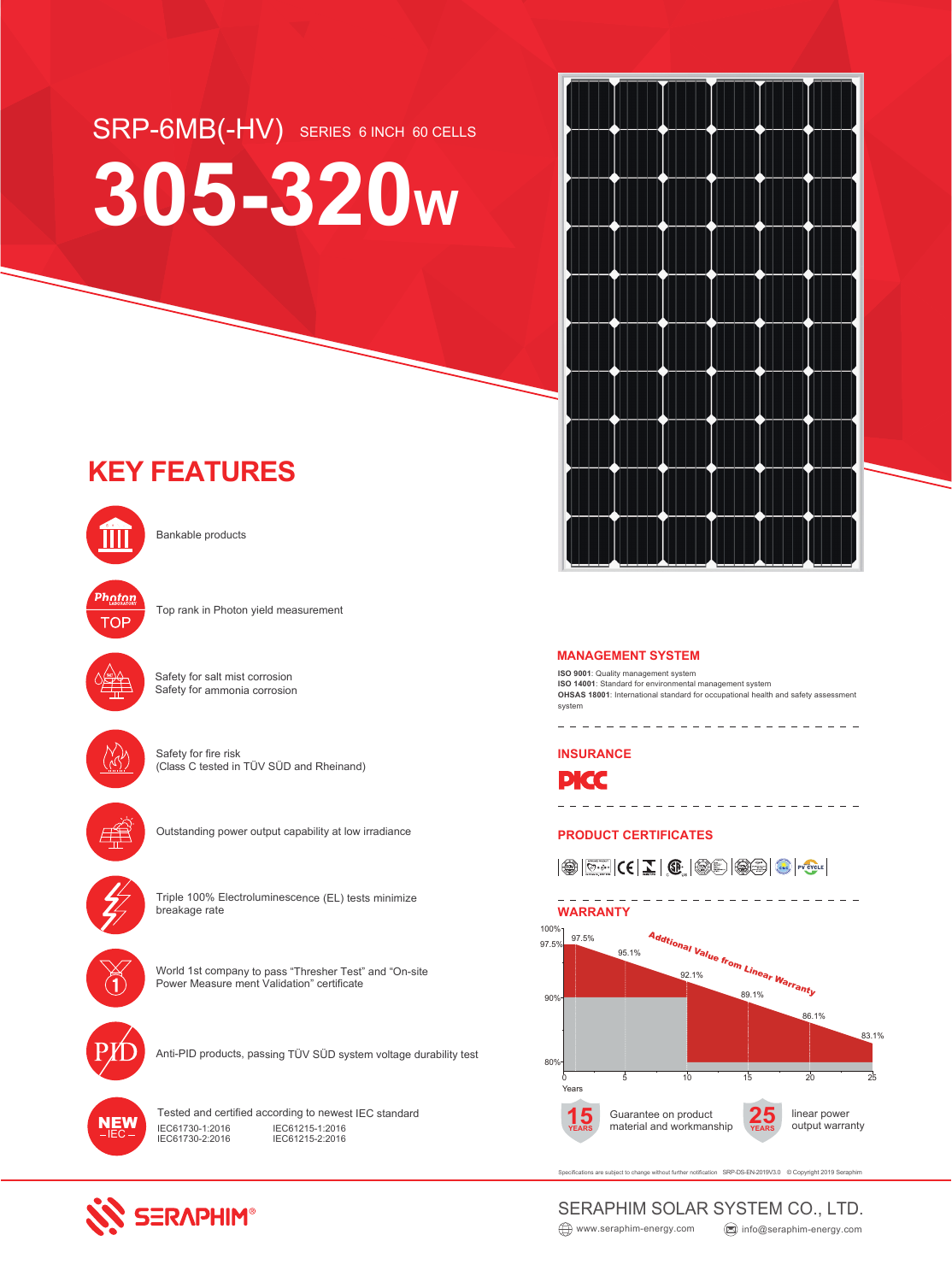# SRP-6MB(-HV) SERIES 6 INCH 60 CELLS **305-320W**

## **KEY FEATURES**



Bankable products



Top rank in Photon yield measurement



Safety for salt mist corrosion Safety for ammonia corrosion



Safety for fire risk (Class C tested in TÜV SÜD and Rheinand)



Outstanding power output capability at low irradiance



Triple 100% Electroluminescence (EL) tests minimize breakage rate



World 1st company to pass "Thresher Test" and "On-site Power Measure ment Validation" certificate



Anti-PID products, passing TÜV SÜD system voltage durability test



**SERAPHIM®** 

Tested and certified according to newest IEC standard IEC61730-1:2016 IEC61730-2:2016 IEC61215-1:2016 IEC61215-2:2016



**ISO 9001**: Quality management system **ISO 14001**: Standard for environmental management system **OHSAS 18001**: International standard for occupational health and safety assessment system

\_ \_ \_ \_ \_ \_ \_ \_ \_ \_ \_ \_ \_ \_

**INSURANCE**



**PRODUCT CERTIFICATES**

 $|\circledast\circ\ldots|{\sf C}\epsilon|\mathbf{1}\otimes\mathbf{1}\otimes\cdots|{\sf C}\epsilon|$ 



ubject to change without further notification SRP-DS-EN-2019V3.0 © Copyright 2019 Seraphim